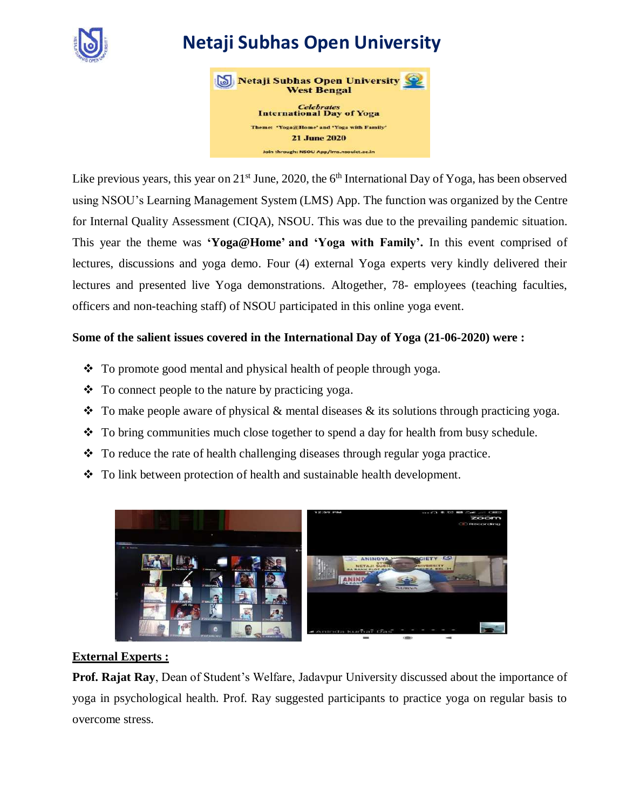

# **Netaji Subhas Open University**



Like previous years, this year on  $21^{st}$  June, 2020, the  $6^{th}$  International Day of Yoga, has been observed using NSOU's Learning Management System (LMS) App. The function was organized by the Centre for Internal Quality Assessment (CIQA), NSOU. This was due to the prevailing pandemic situation. This year the theme was **'[Yoga@Home](mailto:Yoga@Home)' and 'Yoga with Family'.** In this event comprised of lectures, discussions and yoga demo. Four (4) external Yoga experts very kindly delivered their lectures and presented live Yoga demonstrations. Altogether, 78- employees (teaching faculties, officers and non-teaching staff) of NSOU participated in this online yoga event.

## **Some of the salient issues covered in the International Day of Yoga (21-06-2020) were :**

- To promote good mental and physical health of people through yoga.
- $\bullet$  To connect people to the nature by practicing yoga.
- $\bullet$  To make people aware of physical & mental diseases & its solutions through practicing yoga.
- To bring communities much close together to spend a day for health from busy schedule.
- $\bullet$  To reduce the rate of health challenging diseases through regular yoga practice.
- To link between protection of health and sustainable health development.



## **External Experts :**

**Prof. Rajat Ray**, Dean of Student's Welfare, Jadavpur University discussed about the importance of yoga in psychological health. Prof. Ray suggested participants to practice yoga on regular basis to overcome stress.